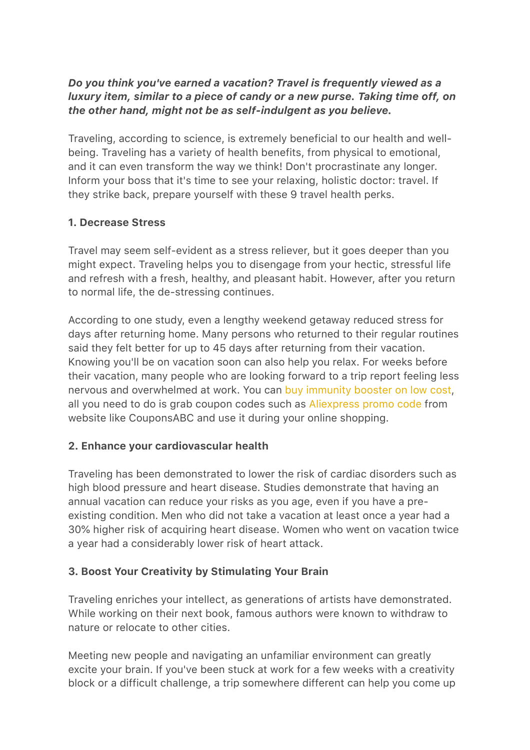#### *Do you think you've earned a vacation? Travel is frequently viewed as a luxury item, similar to a piece of candy or a new purse. Taking time off, on the other hand, might not be as self-indulgent as you believe.*

Traveling, according to science, is extremely beneficial to our health and wellbeing. Traveling has a variety of health benefits, from physical to emotional, and it can even transform the way we think! Don't procrastinate any longer. Inform your boss that it's time to see your relaxing, holistic doctor: travel. If they strike back, prepare yourself with these 9 travel health perks.

#### 1. Decrease Stress

Travel may seem self-evident as a stress reliever, but it goes deeper than you might expect. Traveling helps you to disengage from your hectic, stressful life and refresh with a fresh, healthy, and pleasant habit. However, after you return to normal life, the de-stressing continues.

According to one study, even a lengthy weekend getaway reduced stress for days after returning home. Many persons who returned to their regular routines said they felt better for up to 45 days after returning from their vacation. Knowing you'll be on vacation soon can also help you relax. For weeks before their vacation, many people who are looking forward to a trip report feeling less nervous and overwhelmed at work. You can [buy immunity booster on low cost,](https://couponsabc.com/store/amazon-coupons/) all you need to do is grab coupon codes such as [Aliexpress promo code](https://askmeoffers.com/aliexpress-coupons/) from website like CouponsABC and use it during your online shopping.

## 2. Enhance your cardiovascular health

Traveling has been demonstrated to lower the risk of cardiac disorders such as high blood pressure and heart disease. Studies demonstrate that having an annual vacation can reduce your risks as you age, even if you have a preexisting condition. Men who did not take a vacation at least once a year had a 30% higher risk of acquiring heart disease. Women who went on vacation twice a year had a considerably lower risk of heart attack.

# 3. Boost Your Creativity by Stimulating Your Brain

Traveling enriches your intellect, as generations of artists have demonstrated. While working on their next book, famous authors were known to withdraw to nature or relocate to other cities.

Meeting new people and navigating an unfamiliar environment can greatly excite your brain. If you've been stuck at work for a few weeks with a creativity block or a difficult challenge, a trip somewhere different can help you come up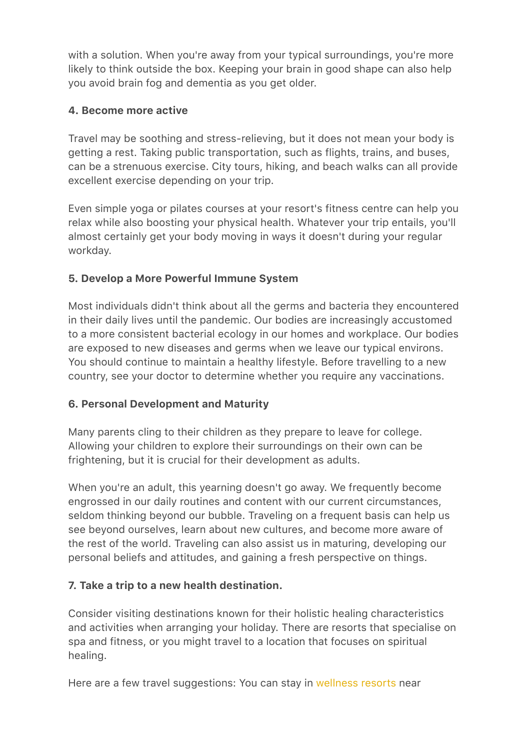with a solution. When you're away from your typical surroundings, you're more likely to think outside the box. Keeping your brain in good shape can also help you avoid brain fog and dementia as you get older.

#### 4. Become more active

Travel may be soothing and stress-relieving, but it does not mean your body is getting a rest. Taking public transportation, such as flights, trains, and buses, can be a strenuous exercise. City tours, hiking, and beach walks can all provide excellent exercise depending on your trip.

Even simple yoga or pilates courses at your resort's fitness centre can help you relax while also boosting your physical health. Whatever your trip entails, you'll almost certainly get your body moving in ways it doesn't during your regular workday.

## 5. Develop a More Powerful Immune System

Most individuals didn't think about all the germs and bacteria they encountered in their daily lives until the pandemic. Our bodies are increasingly accustomed to a more consistent bacterial ecology in our homes and workplace. Our bodies are exposed to new diseases and germs when we leave our typical environs. You should continue to maintain a healthy lifestyle. Before travelling to a new country, see your doctor to determine whether you require any vaccinations.

## 6. Personal Development and Maturity

Many parents cling to their children as they prepare to leave for college. Allowing your children to explore their surroundings on their own can be frightening, but it is crucial for their development as adults.

When you're an adult, this yearning doesn't go away. We frequently become engrossed in our daily routines and content with our current circumstances, seldom thinking beyond our bubble. Traveling on a frequent basis can help us see beyond ourselves, learn about new cultures, and become more aware of the rest of the world. Traveling can also assist us in maturing, developing our personal beliefs and attitudes, and gaining a fresh perspective on things.

## 7. Take a trip to a new health destination.

Consider visiting destinations known for their holistic healing characteristics and activities when arranging your holiday. There are resorts that specialise on spa and fitness, or you might travel to a location that focuses on spiritual healing.

Here are a few travel suggestions: You can stay in [wellness resorts](https://couponsabc.com/store/oyo-rooms-coupons/) near